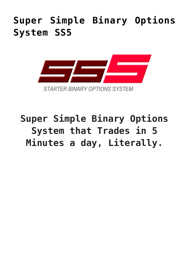## **[Super Simple Binary Options](https://binaryoptionsauthority.com/super-simple-binary-options-system-ss5/) [System SS5](https://binaryoptionsauthority.com/super-simple-binary-options-system-ss5/)**



## **Super Simple Binary Options System that Trades in 5 Minutes a day, Literally.**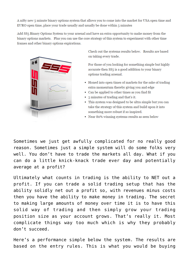A nifty new 5 minute binary options system that allows you to come into the market for USA open time and EURO open time, place your trade usually and usually be done within 5 minutes

Add SS5 Binary Options System to your arsenal and have an extra opportunity to make money from the binary options markets. Plus you can use the core strategy of this system to experiment with other time frames and other binary options expirations.



Check out the systems results below. Results are based on taking every trade.

For those of you looking for something simple but highly accurate then SS5 is a good addition to your binary options trading arsenal.

- Honed into open times of markets for the sake of trading extra momentum thereby giving you and edge
- Can be applied to other times as you find fit
- 5 minutes of trading and that's it.
- This system was designed to be ultra simple but you can take the strategy of this system and build upon it into something more robust if so inspired.
- Near 80% winning systems results as seen below

Sometimes we just get awfully complicated for no really good reason. Sometimes just a simple system will do some folks very well. You don't have to trade the markets all day. What if you can do a little knick-knack trade ever day and potentially average at a profit?

Ultimately what counts in trading is the ability to NET out a profit. If you can trade a solid trading setup that has the ability solidly net out a profit so, with revenues minus costs then you have the ability to make money in trading. The secret to making large amounts of money over time it is to have this solid way of trading and then simply grow your trading position size as your account grows. That's really it. Most complicate things way too much which is why they probably don't succeed.

Here's a performance simple below the system. The results are based on the entry rules. This is what you would be buying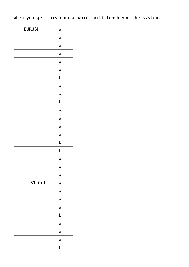when you get this course which will teach you the system.

| <b>EURUSD</b> | W |
|---------------|---|
|               | W |
|               | W |
|               | W |
|               | W |
|               | W |
|               | L |
|               | W |
|               | W |
|               | L |
|               | W |
|               | W |
|               | W |
|               | W |
|               | L |
|               | L |
|               | W |
|               | W |
|               | W |
| 31-0ct        | W |
|               | W |
|               | W |
|               | W |
|               | L |
|               | W |
|               | W |
|               | W |
|               | L |